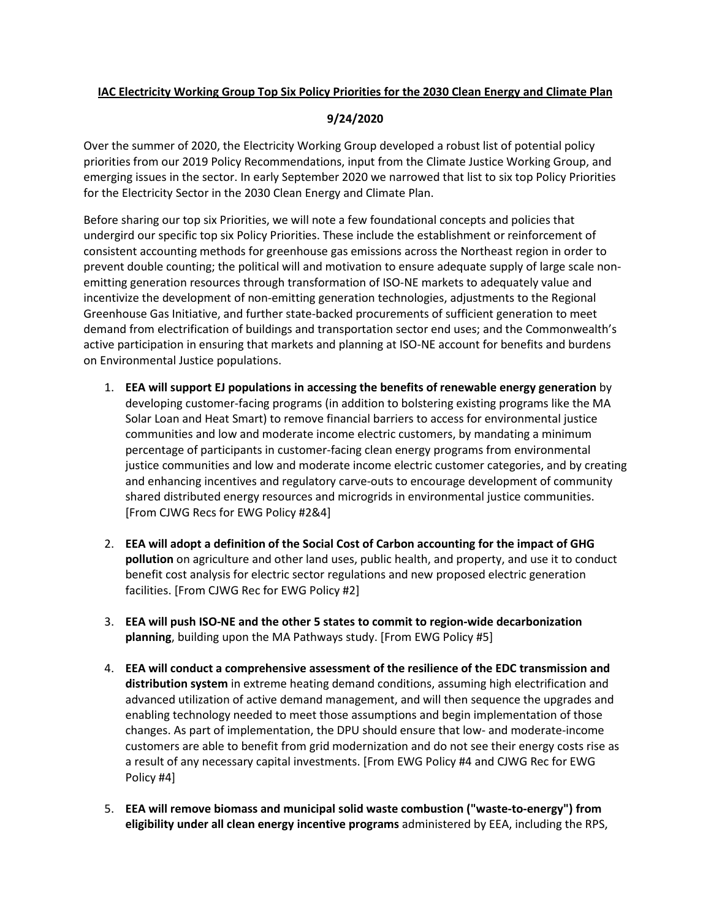## **IAC Electricity Working Group Top Six Policy Priorities for the 2030 Clean Energy and Climate Plan**

## **9/24/2020**

Over the summer of 2020, the Electricity Working Group developed a robust list of potential policy priorities from our 2019 Policy Recommendations, input from the Climate Justice Working Group, and emerging issues in the sector. In early September 2020 we narrowed that list to six top Policy Priorities for the Electricity Sector in the 2030 Clean Energy and Climate Plan.

Before sharing our top six Priorities, we will note a few foundational concepts and policies that undergird our specific top six Policy Priorities. These include the establishment or reinforcement of consistent accounting methods for greenhouse gas emissions across the Northeast region in order to prevent double counting; the political will and motivation to ensure adequate supply of large scale nonemitting generation resources through transformation of ISO-NE markets to adequately value and incentivize the development of non-emitting generation technologies, adjustments to the Regional Greenhouse Gas Initiative, and further state-backed procurements of sufficient generation to meet demand from electrification of buildings and transportation sector end uses; and the Commonwealth's active participation in ensuring that markets and planning at ISO-NE account for benefits and burdens on Environmental Justice populations.

- 1. **EEA will support EJ populations in accessing the benefits of renewable energy generation** by developing customer-facing programs (in addition to bolstering existing programs like the MA Solar Loan and Heat Smart) to remove financial barriers to access for environmental justice communities and low and moderate income electric customers, by mandating a minimum percentage of participants in customer-facing clean energy programs from environmental justice communities and low and moderate income electric customer categories, and by creating and enhancing incentives and regulatory carve-outs to encourage development of community shared distributed energy resources and microgrids in environmental justice communities. [From CJWG Recs for EWG Policy #2&4]
- 2. **EEA will adopt a definition of the Social Cost of Carbon accounting for the impact of GHG pollution** on agriculture and other land uses, public health, and property, and use it to conduct benefit cost analysis for electric sector regulations and new proposed electric generation facilities. [From CJWG Rec for EWG Policy #2]
- 3. **EEA will push ISO-NE and the other 5 states to commit to region-wide decarbonization planning**, building upon the MA Pathways study. [From EWG Policy #5]
- 4. **EEA will conduct a comprehensive assessment of the resilience of the EDC transmission and distribution system** in extreme heating demand conditions, assuming high electrification and advanced utilization of active demand management, and will then sequence the upgrades and enabling technology needed to meet those assumptions and begin implementation of those changes. As part of implementation, the DPU should ensure that low- and moderate-income customers are able to benefit from grid modernization and do not see their energy costs rise as a result of any necessary capital investments. [From EWG Policy #4 and CJWG Rec for EWG Policy #4]
- 5. **EEA will remove biomass and municipal solid waste combustion ("waste-to-energy") from eligibility under all clean energy incentive programs** administered by EEA, including the RPS,